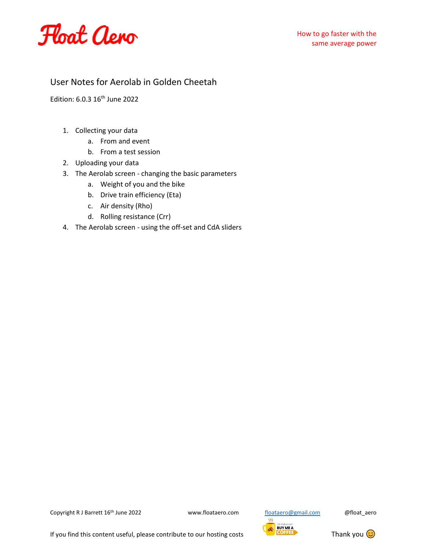

## User Notes for Aerolab in Golden Cheetah

Edition: 6.0.3 16<sup>th</sup> June 2022

- 1. Collecting your data
	- a. From and event
	- b. From a test session
- 2. Uploading your data
- 3. The Aerolab screen changing the basic parameters
	- a. Weight of you and the bike
	- b. Drive train efficiency (Eta)
	- c. Air density (Rho)
	- d. Rolling resistance (Crr)
- 4. The Aerolab screen using the off-set and CdA sliders





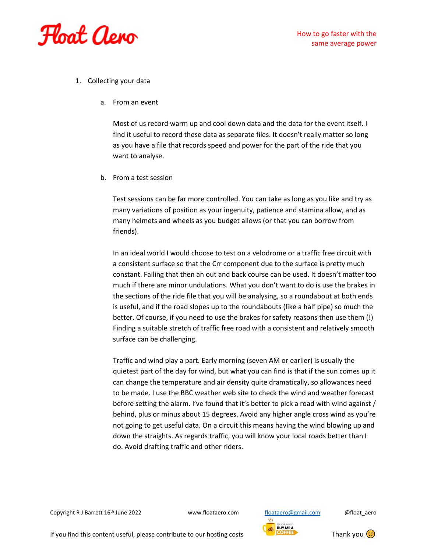

- 1. Collecting your data
	- a. From an event

Most of us record warm up and cool down data and the data for the event itself. I find it useful to record these data as separate files. It doesn't really matter so long as you have a file that records speed and power for the part of the ride that you want to analyse.

b. From a test session

Test sessions can be far more controlled. You can take as long as you like and try as many variations of position as your ingenuity, patience and stamina allow, and as many helmets and wheels as you budget allows (or that you can borrow from friends).

In an ideal world I would choose to test on a velodrome or a traffic free circuit with a consistent surface so that the Crr component due to the surface is pretty much constant. Failing that then an out and back course can be used. It doesn't matter too much if there are minor undulations. What you don't want to do is use the brakes in the sections of the ride file that you will be analysing, so a roundabout at both ends is useful, and if the road slopes up to the roundabouts (like a half pipe) so much the better. Of course, if you need to use the brakes for safety reasons then use them (!) Finding a suitable stretch of traffic free road with a consistent and relatively smooth surface can be challenging.

Traffic and wind play a part. Early morning (seven AM or earlier) is usually the quietest part of the day for wind, but what you can find is that if the sun comes up it can change the temperature and air density quite dramatically, so allowances need to be made. I use the BBC weather web site to check the wind and weather forecast before setting the alarm. I've found that it's better to pick a road with wind against / behind, plus or minus about 15 degrees. Avoid any higher angle cross wind as you're not going to get useful data. On a circuit this means having the wind blowing up and down the straights. As regards traffic, you will know your local roads better than I do. Avoid drafting traffic and other riders.



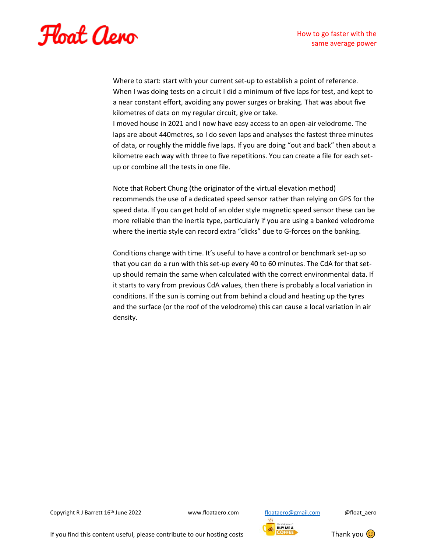

Where to start: start with your current set-up to establish a point of reference. When I was doing tests on a circuit I did a minimum of five laps for test, and kept to a near constant effort, avoiding any power surges or braking. That was about five kilometres of data on my regular circuit, give or take. I moved house in 2021 and I now have easy access to an open-air velodrome. The laps are about 440metres, so I do seven laps and analyses the fastest three minutes of data, or roughly the middle five laps. If you are doing "out and back" then about a kilometre each way with three to five repetitions. You can create a file for each setup or combine all the tests in one file.

Note that Robert Chung (the originator of the virtual elevation method) recommends the use of a dedicated speed sensor rather than relying on GPS for the speed data. If you can get hold of an older style magnetic speed sensor these can be more reliable than the inertia type, particularly if you are using a banked velodrome where the inertia style can record extra "clicks" due to G-forces on the banking.

Conditions change with time. It's useful to have a control or benchmark set-up so that you can do a run with this set-up every 40 to 60 minutes. The CdA for that setup should remain the same when calculated with the correct environmental data. If it starts to vary from previous CdA values, then there is probably a local variation in conditions. If the sun is coming out from behind a cloud and heating up the tyres and the surface (or the roof of the velodrome) this can cause a local variation in air density.

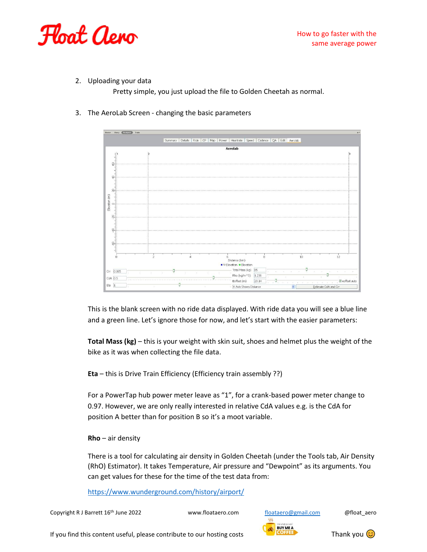

2. Uploading your data

Pretty simple, you just upload the file to Golden Cheetah as normal.

3. The AeroLab Screen - changing the basic parameters



This is the blank screen with no ride data displayed. With ride data you will see a blue line and a green line. Let's ignore those for now, and let's start with the easier parameters:

**Total Mass (kg)** – this is your weight with skin suit, shoes and helmet plus the weight of the bike as it was when collecting the file data.

**Eta** – this is Drive Train Efficiency (Efficiency train assembly ??)

For a PowerTap hub power meter leave as "1", for a crank-based power meter change to 0.97. However, we are only really interested in relative CdA values e.g. is the CdA for position A better than for position B so it's a moot variable.

**Rho** – air density

There is a tool for calculating air density in Golden Cheetah (under the Tools tab, Air Density (RhO) Estimator). It takes Temperature, Air pressure and "Dewpoint" as its arguments. You can get values for these for the time of the test data from:

<https://www.wunderground.com/history/airport/>

Copyright R J Barrett 16<sup>th</sup> June 2022 www.floataero.com [floataero@gmail.com](mailto:floataero@gmail.com) @float\_aero



If you find this content useful, please contribute to our hosting costs Thank you  $\bigcirc$ 

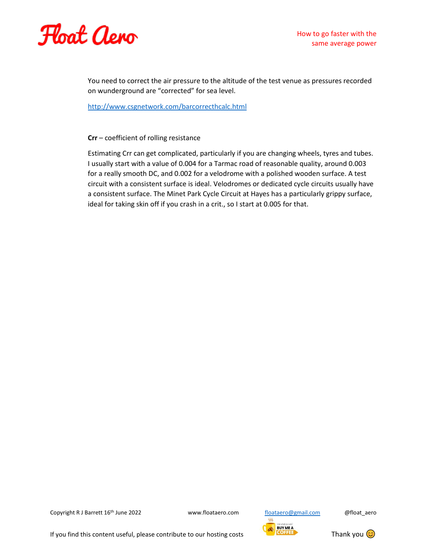

You need to correct the air pressure to the altitude of the test venue as pressures recorded on wunderground are "corrected" for sea level.

<http://www.csgnetwork.com/barcorrecthcalc.html>

## **Crr** – coefficient of rolling resistance

Estimating Crr can get complicated, particularly if you are changing wheels, tyres and tubes. I usually start with a value of 0.004 for a Tarmac road of reasonable quality, around 0.003 for a really smooth DC, and 0.002 for a velodrome with a polished wooden surface. A test circuit with a consistent surface is ideal. Velodromes or dedicated cycle circuits usually have a consistent surface. The Minet Park Cycle Circuit at Hayes has a particularly grippy surface, ideal for taking skin off if you crash in a crit., so I start at 0.005 for that.

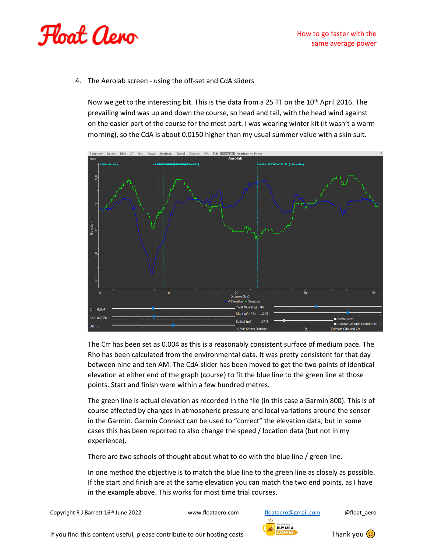

4. The Aerolab screen - using the off-set and CdA sliders

Now we get to the interesting bit. This is the data from a 25 TT on the  $10^{th}$  April 2016. The prevailing wind was up and down the course, so head and tail, with the head wind against on the easier part of the course for the most part. I was wearing winter kit (it wasn't a warm morning), so the CdA is about 0.0150 higher than my usual summer value with a skin suit.



The Crr has been set as 0.004 as this is a reasonably consistent surface of medium pace. The Rho has been calculated from the environmental data. It was pretty consistent for that day between nine and ten AM. The CdA slider has been moved to get the two points of identical elevation at either end of the graph (course) to fit the blue line to the green line at those points. Start and finish were within a few hundred metres.

The green line is actual elevation as recorded in the file (in this case a Garmin 800). This is of course affected by changes in atmospheric pressure and local variations around the sensor in the Garmin. Garmin Connect can be used to "correct" the elevation data, but in some cases this has been reported to also change the speed / location data (but not in my experience).

There are two schools of thought about what to do with the blue line / green line.

In one method the objective is to match the blue line to the green line as closely as possible. If the start and finish are at the same elevation you can match the two end points, as I have in the example above. This works for most time trial courses.

Copyright R J Barrett 16<sup>th</sup> June 2022 www.floataero.com [floataero@gmail.com](mailto:floataero@gmail.com) @float\_aero

 $555$ **BUY ME A** 

If you find this content useful, please contribute to our hosting costs Thank you  $\bigcirc$ 

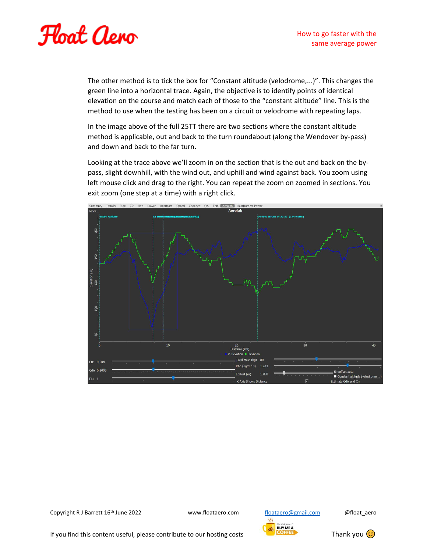

The other method is to tick the box for "Constant altitude (velodrome,...)". This changes the green line into a horizontal trace. Again, the objective is to identify points of identical elevation on the course and match each of those to the "constant altitude" line. This is the method to use when the testing has been on a circuit or velodrome with repeating laps.

In the image above of the full 25TT there are two sections where the constant altitude method is applicable, out and back to the turn roundabout (along the Wendover by-pass) and down and back to the far turn.

Looking at the trace above we'll zoom in on the section that is the out and back on the bypass, slight downhill, with the wind out, and uphill and wind against back. You zoom using left mouse click and drag to the right. You can repeat the zoom on zoomed in sections. You exit zoom (one step at a time) with a right click.



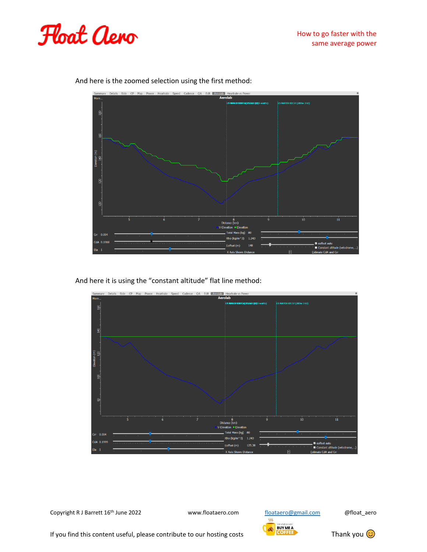



And here is the zoomed selection using the first method:

And here it is using the "constant altitude" flat line method:



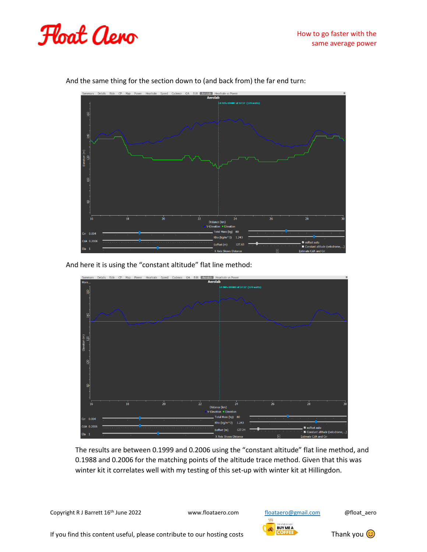



And the same thing for the section down to (and back from) the far end turn:

And here it is using the "constant altitude" flat line method:



The results are between 0.1999 and 0.2006 using the "constant altitude" flat line method, and 0.1988 and 0.2006 for the matching points of the altitude trace method. Given that this was winter kit it correlates well with my testing of this set-up with winter kit at Hillingdon.

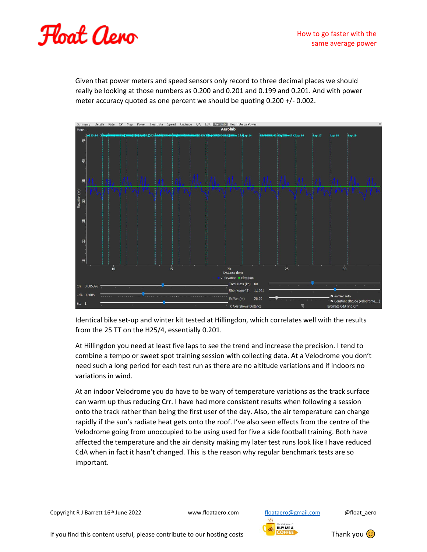

Given that power meters and speed sensors only record to three decimal places we should really be looking at those numbers as 0.200 and 0.201 and 0.199 and 0.201. And with power meter accuracy quoted as one percent we should be quoting 0.200 +/- 0.002.



Identical bike set-up and winter kit tested at Hillingdon, which correlates well with the results from the 25 TT on the H25/4, essentially 0.201.

At Hillingdon you need at least five laps to see the trend and increase the precision. I tend to combine a tempo or sweet spot training session with collecting data. At a Velodrome you don't need such a long period for each test run as there are no altitude variations and if indoors no variations in wind.

At an indoor Velodrome you do have to be wary of temperature variations as the track surface can warm up thus reducing Crr. I have had more consistent results when following a session onto the track rather than being the first user of the day. Also, the air temperature can change rapidly if the sun's radiate heat gets onto the roof. I've also seen effects from the centre of the Velodrome going from unoccupied to be using used for five a side football training. Both have affected the temperature and the air density making my later test runs look like I have reduced CdA when in fact it hasn't changed. This is the reason why regular benchmark tests are so important.